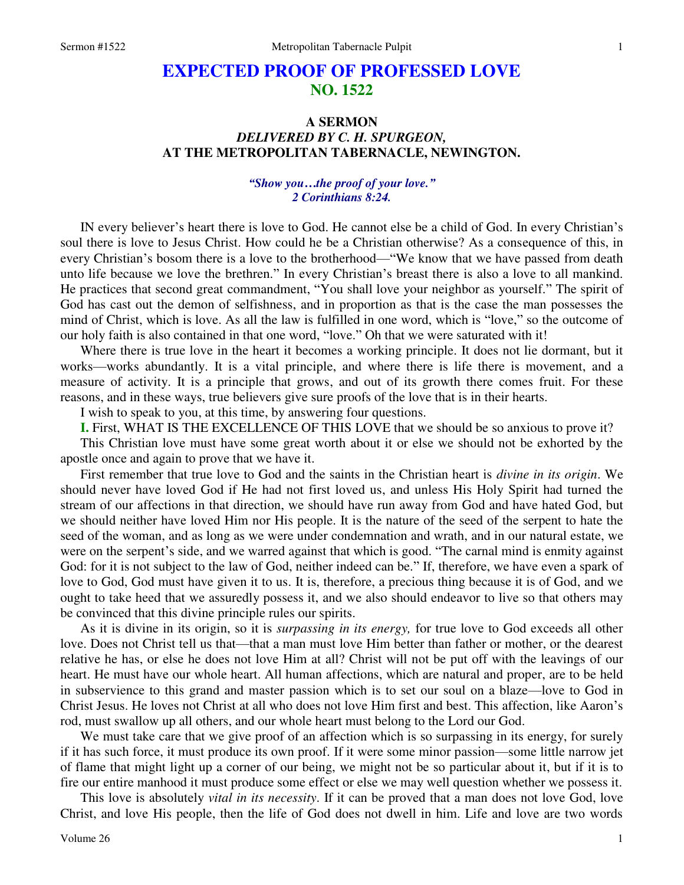# **EXPECTED PROOF OF PROFESSED LOVE NO. 1522**

## **A SERMON**  *DELIVERED BY C. H. SPURGEON,*  **AT THE METROPOLITAN TABERNACLE, NEWINGTON.**

### *"Show you…the proof of your love." 2 Corinthians 8:24.*

IN every believer's heart there is love to God. He cannot else be a child of God. In every Christian's soul there is love to Jesus Christ. How could he be a Christian otherwise? As a consequence of this, in every Christian's bosom there is a love to the brotherhood—"We know that we have passed from death unto life because we love the brethren." In every Christian's breast there is also a love to all mankind. He practices that second great commandment, "You shall love your neighbor as yourself." The spirit of God has cast out the demon of selfishness, and in proportion as that is the case the man possesses the mind of Christ, which is love. As all the law is fulfilled in one word, which is "love," so the outcome of our holy faith is also contained in that one word, "love." Oh that we were saturated with it!

 Where there is true love in the heart it becomes a working principle. It does not lie dormant, but it works—works abundantly. It is a vital principle, and where there is life there is movement, and a measure of activity. It is a principle that grows, and out of its growth there comes fruit. For these reasons, and in these ways, true believers give sure proofs of the love that is in their hearts.

I wish to speak to you, at this time, by answering four questions.

**I.** First, WHAT IS THE EXCELLENCE OF THIS LOVE that we should be so anxious to prove it?

 This Christian love must have some great worth about it or else we should not be exhorted by the apostle once and again to prove that we have it.

 First remember that true love to God and the saints in the Christian heart is *divine in its origin*. We should never have loved God if He had not first loved us, and unless His Holy Spirit had turned the stream of our affections in that direction, we should have run away from God and have hated God, but we should neither have loved Him nor His people. It is the nature of the seed of the serpent to hate the seed of the woman, and as long as we were under condemnation and wrath, and in our natural estate, we were on the serpent's side, and we warred against that which is good. "The carnal mind is enmity against God: for it is not subject to the law of God, neither indeed can be." If, therefore, we have even a spark of love to God, God must have given it to us. It is, therefore, a precious thing because it is of God, and we ought to take heed that we assuredly possess it, and we also should endeavor to live so that others may be convinced that this divine principle rules our spirits.

 As it is divine in its origin, so it is *surpassing in its energy,* for true love to God exceeds all other love. Does not Christ tell us that—that a man must love Him better than father or mother, or the dearest relative he has, or else he does not love Him at all? Christ will not be put off with the leavings of our heart. He must have our whole heart. All human affections, which are natural and proper, are to be held in subservience to this grand and master passion which is to set our soul on a blaze—love to God in Christ Jesus. He loves not Christ at all who does not love Him first and best. This affection, like Aaron's rod, must swallow up all others, and our whole heart must belong to the Lord our God.

 We must take care that we give proof of an affection which is so surpassing in its energy, for surely if it has such force, it must produce its own proof. If it were some minor passion—some little narrow jet of flame that might light up a corner of our being, we might not be so particular about it, but if it is to fire our entire manhood it must produce some effect or else we may well question whether we possess it.

 This love is absolutely *vital in its necessity*. If it can be proved that a man does not love God, love Christ, and love His people, then the life of God does not dwell in him. Life and love are two words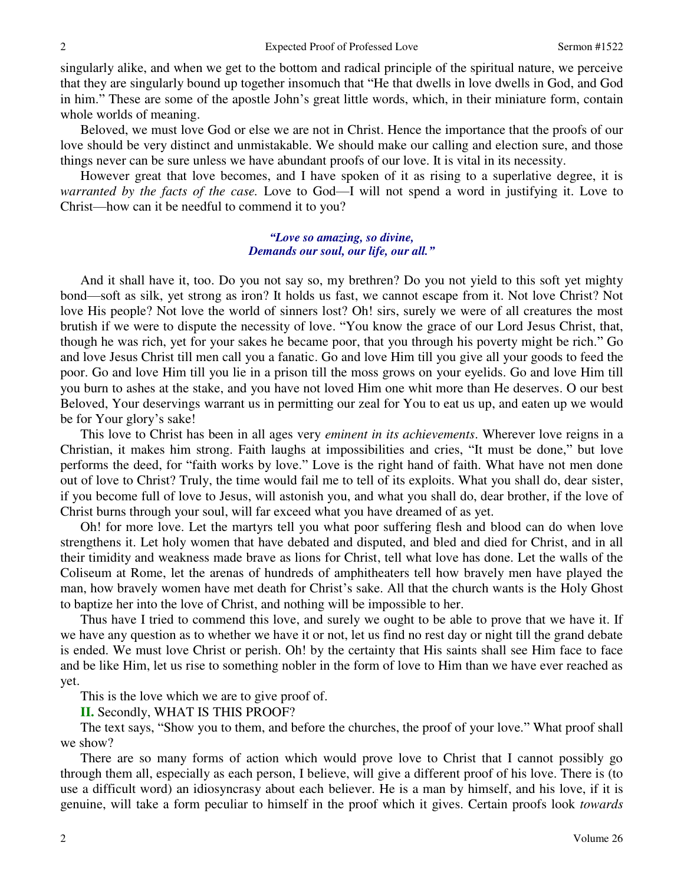singularly alike, and when we get to the bottom and radical principle of the spiritual nature, we perceive that they are singularly bound up together insomuch that "He that dwells in love dwells in God, and God in him." These are some of the apostle John's great little words, which, in their miniature form, contain whole worlds of meaning.

 Beloved, we must love God or else we are not in Christ. Hence the importance that the proofs of our love should be very distinct and unmistakable. We should make our calling and election sure, and those things never can be sure unless we have abundant proofs of our love. It is vital in its necessity.

 However great that love becomes, and I have spoken of it as rising to a superlative degree, it is *warranted by the facts of the case.* Love to God—I will not spend a word in justifying it. Love to Christ—how can it be needful to commend it to you?

#### *"Love so amazing, so divine, Demands our soul, our life, our all."*

 And it shall have it, too. Do you not say so, my brethren? Do you not yield to this soft yet mighty bond—soft as silk, yet strong as iron? It holds us fast, we cannot escape from it. Not love Christ? Not love His people? Not love the world of sinners lost? Oh! sirs, surely we were of all creatures the most brutish if we were to dispute the necessity of love. "You know the grace of our Lord Jesus Christ, that, though he was rich, yet for your sakes he became poor, that you through his poverty might be rich." Go and love Jesus Christ till men call you a fanatic. Go and love Him till you give all your goods to feed the poor. Go and love Him till you lie in a prison till the moss grows on your eyelids. Go and love Him till you burn to ashes at the stake, and you have not loved Him one whit more than He deserves. O our best Beloved, Your deservings warrant us in permitting our zeal for You to eat us up, and eaten up we would be for Your glory's sake!

 This love to Christ has been in all ages very *eminent in its achievements*. Wherever love reigns in a Christian, it makes him strong. Faith laughs at impossibilities and cries, "It must be done," but love performs the deed, for "faith works by love." Love is the right hand of faith. What have not men done out of love to Christ? Truly, the time would fail me to tell of its exploits. What you shall do, dear sister, if you become full of love to Jesus, will astonish you, and what you shall do, dear brother, if the love of Christ burns through your soul, will far exceed what you have dreamed of as yet.

 Oh! for more love. Let the martyrs tell you what poor suffering flesh and blood can do when love strengthens it. Let holy women that have debated and disputed, and bled and died for Christ, and in all their timidity and weakness made brave as lions for Christ, tell what love has done. Let the walls of the Coliseum at Rome, let the arenas of hundreds of amphitheaters tell how bravely men have played the man, how bravely women have met death for Christ's sake. All that the church wants is the Holy Ghost to baptize her into the love of Christ, and nothing will be impossible to her.

 Thus have I tried to commend this love, and surely we ought to be able to prove that we have it. If we have any question as to whether we have it or not, let us find no rest day or night till the grand debate is ended. We must love Christ or perish. Oh! by the certainty that His saints shall see Him face to face and be like Him, let us rise to something nobler in the form of love to Him than we have ever reached as yet.

This is the love which we are to give proof of.

**II.** Secondly, WHAT IS THIS PROOF?

 The text says, "Show you to them, and before the churches, the proof of your love." What proof shall we show?

 There are so many forms of action which would prove love to Christ that I cannot possibly go through them all, especially as each person, I believe, will give a different proof of his love. There is (to use a difficult word) an idiosyncrasy about each believer. He is a man by himself, and his love, if it is genuine, will take a form peculiar to himself in the proof which it gives. Certain proofs look *towards*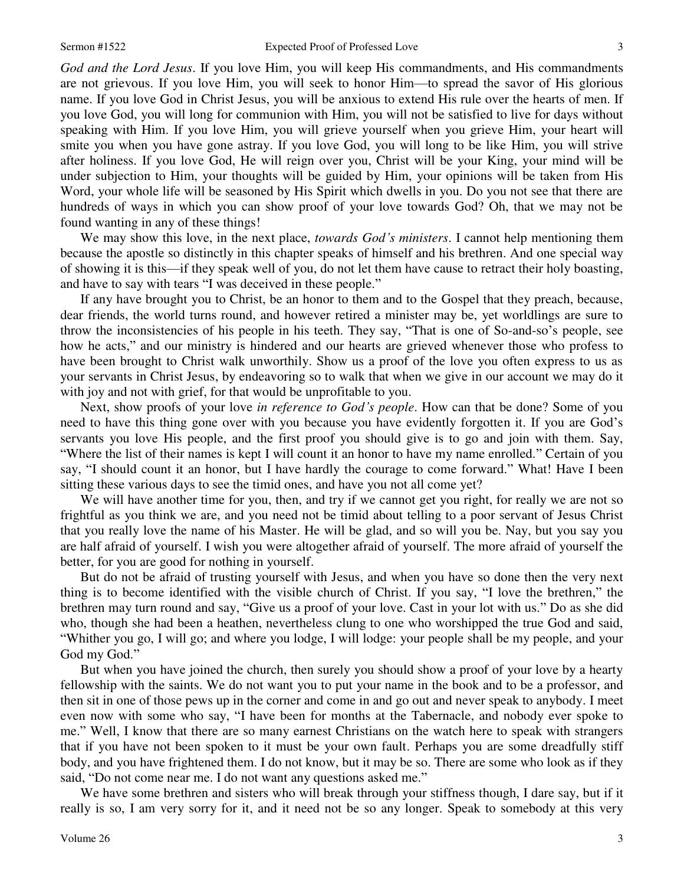*God and the Lord Jesus*. If you love Him, you will keep His commandments, and His commandments are not grievous. If you love Him, you will seek to honor Him—to spread the savor of His glorious name. If you love God in Christ Jesus, you will be anxious to extend His rule over the hearts of men. If you love God, you will long for communion with Him, you will not be satisfied to live for days without speaking with Him. If you love Him, you will grieve yourself when you grieve Him, your heart will smite you when you have gone astray. If you love God, you will long to be like Him, you will strive after holiness. If you love God, He will reign over you, Christ will be your King, your mind will be under subjection to Him, your thoughts will be guided by Him, your opinions will be taken from His Word, your whole life will be seasoned by His Spirit which dwells in you. Do you not see that there are hundreds of ways in which you can show proof of your love towards God? Oh, that we may not be found wanting in any of these things!

 We may show this love, in the next place, *towards God's ministers*. I cannot help mentioning them because the apostle so distinctly in this chapter speaks of himself and his brethren. And one special way of showing it is this—if they speak well of you, do not let them have cause to retract their holy boasting, and have to say with tears "I was deceived in these people."

 If any have brought you to Christ, be an honor to them and to the Gospel that they preach, because, dear friends, the world turns round, and however retired a minister may be, yet worldlings are sure to throw the inconsistencies of his people in his teeth. They say, "That is one of So-and-so's people, see how he acts," and our ministry is hindered and our hearts are grieved whenever those who profess to have been brought to Christ walk unworthily. Show us a proof of the love you often express to us as your servants in Christ Jesus, by endeavoring so to walk that when we give in our account we may do it with joy and not with grief, for that would be unprofitable to you.

 Next, show proofs of your love *in reference to God's people*. How can that be done? Some of you need to have this thing gone over with you because you have evidently forgotten it. If you are God's servants you love His people, and the first proof you should give is to go and join with them. Say, "Where the list of their names is kept I will count it an honor to have my name enrolled." Certain of you say, "I should count it an honor, but I have hardly the courage to come forward." What! Have I been sitting these various days to see the timid ones, and have you not all come yet?

We will have another time for you, then, and try if we cannot get you right, for really we are not so frightful as you think we are, and you need not be timid about telling to a poor servant of Jesus Christ that you really love the name of his Master. He will be glad, and so will you be. Nay, but you say you are half afraid of yourself. I wish you were altogether afraid of yourself. The more afraid of yourself the better, for you are good for nothing in yourself.

 But do not be afraid of trusting yourself with Jesus, and when you have so done then the very next thing is to become identified with the visible church of Christ. If you say, "I love the brethren," the brethren may turn round and say, "Give us a proof of your love. Cast in your lot with us." Do as she did who, though she had been a heathen, nevertheless clung to one who worshipped the true God and said, "Whither you go, I will go; and where you lodge, I will lodge: your people shall be my people, and your God my God."

 But when you have joined the church, then surely you should show a proof of your love by a hearty fellowship with the saints. We do not want you to put your name in the book and to be a professor, and then sit in one of those pews up in the corner and come in and go out and never speak to anybody. I meet even now with some who say, "I have been for months at the Tabernacle, and nobody ever spoke to me." Well, I know that there are so many earnest Christians on the watch here to speak with strangers that if you have not been spoken to it must be your own fault. Perhaps you are some dreadfully stiff body, and you have frightened them. I do not know, but it may be so. There are some who look as if they said, "Do not come near me. I do not want any questions asked me."

We have some brethren and sisters who will break through your stiffness though, I dare say, but if it really is so, I am very sorry for it, and it need not be so any longer. Speak to somebody at this very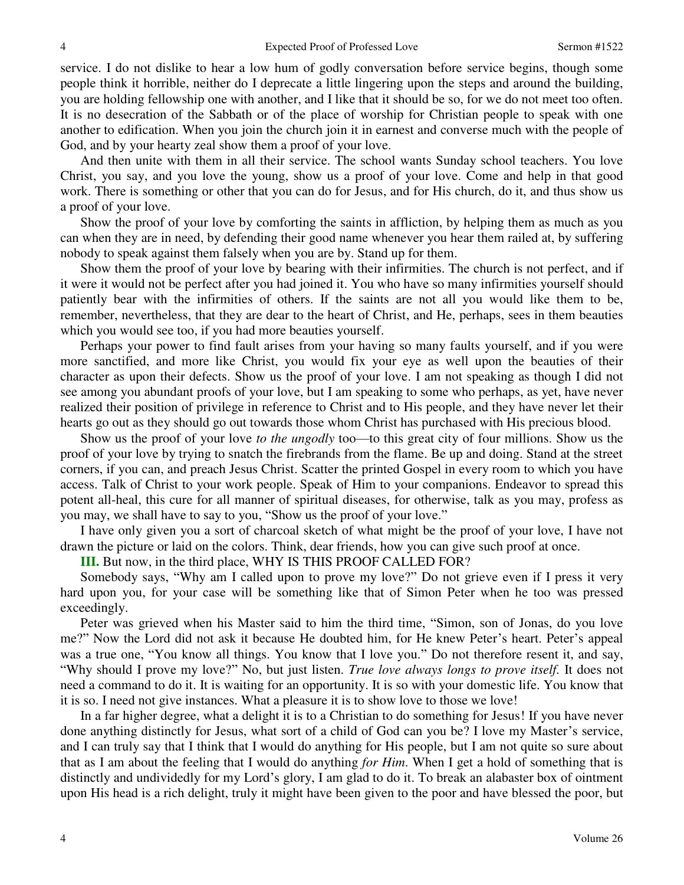service. I do not dislike to hear a low hum of godly conversation before service begins, though some people think it horrible, neither do I deprecate a little lingering upon the steps and around the building, you are holding fellowship one with another, and I like that it should be so, for we do not meet too often. It is no desecration of the Sabbath or of the place of worship for Christian people to speak with one another to edification. When you join the church join it in earnest and converse much with the people of God, and by your hearty zeal show them a proof of your love.

 And then unite with them in all their service. The school wants Sunday school teachers. You love Christ, you say, and you love the young, show us a proof of your love. Come and help in that good work. There is something or other that you can do for Jesus, and for His church, do it, and thus show us a proof of your love.

 Show the proof of your love by comforting the saints in affliction, by helping them as much as you can when they are in need, by defending their good name whenever you hear them railed at, by suffering nobody to speak against them falsely when you are by. Stand up for them.

 Show them the proof of your love by bearing with their infirmities. The church is not perfect, and if it were it would not be perfect after you had joined it. You who have so many infirmities yourself should patiently bear with the infirmities of others. If the saints are not all you would like them to be, remember, nevertheless, that they are dear to the heart of Christ, and He, perhaps, sees in them beauties which you would see too, if you had more beauties yourself.

 Perhaps your power to find fault arises from your having so many faults yourself, and if you were more sanctified, and more like Christ, you would fix your eye as well upon the beauties of their character as upon their defects. Show us the proof of your love. I am not speaking as though I did not see among you abundant proofs of your love, but I am speaking to some who perhaps, as yet, have never realized their position of privilege in reference to Christ and to His people, and they have never let their hearts go out as they should go out towards those whom Christ has purchased with His precious blood.

 Show us the proof of your love *to the ungodly* too—to this great city of four millions. Show us the proof of your love by trying to snatch the firebrands from the flame. Be up and doing. Stand at the street corners, if you can, and preach Jesus Christ. Scatter the printed Gospel in every room to which you have access. Talk of Christ to your work people. Speak of Him to your companions. Endeavor to spread this potent all-heal, this cure for all manner of spiritual diseases, for otherwise, talk as you may, profess as you may, we shall have to say to you, "Show us the proof of your love."

 I have only given you a sort of charcoal sketch of what might be the proof of your love, I have not drawn the picture or laid on the colors. Think, dear friends, how you can give such proof at once.

**III.** But now, in the third place, WHY IS THIS PROOF CALLED FOR?

 Somebody says, "Why am I called upon to prove my love?" Do not grieve even if I press it very hard upon you, for your case will be something like that of Simon Peter when he too was pressed exceedingly.

 Peter was grieved when his Master said to him the third time, "Simon, son of Jonas, do you love me?" Now the Lord did not ask it because He doubted him, for He knew Peter's heart. Peter's appeal was a true one, "You know all things. You know that I love you." Do not therefore resent it, and say, "Why should I prove my love?" No, but just listen. *True love always longs to prove itself.* It does not need a command to do it. It is waiting for an opportunity. It is so with your domestic life. You know that it is so. I need not give instances. What a pleasure it is to show love to those we love!

 In a far higher degree, what a delight it is to a Christian to do something for Jesus! If you have never done anything distinctly for Jesus, what sort of a child of God can you be? I love my Master's service, and I can truly say that I think that I would do anything for His people, but I am not quite so sure about that as I am about the feeling that I would do anything *for Him*. When I get a hold of something that is distinctly and undividedly for my Lord's glory, I am glad to do it. To break an alabaster box of ointment upon His head is a rich delight, truly it might have been given to the poor and have blessed the poor, but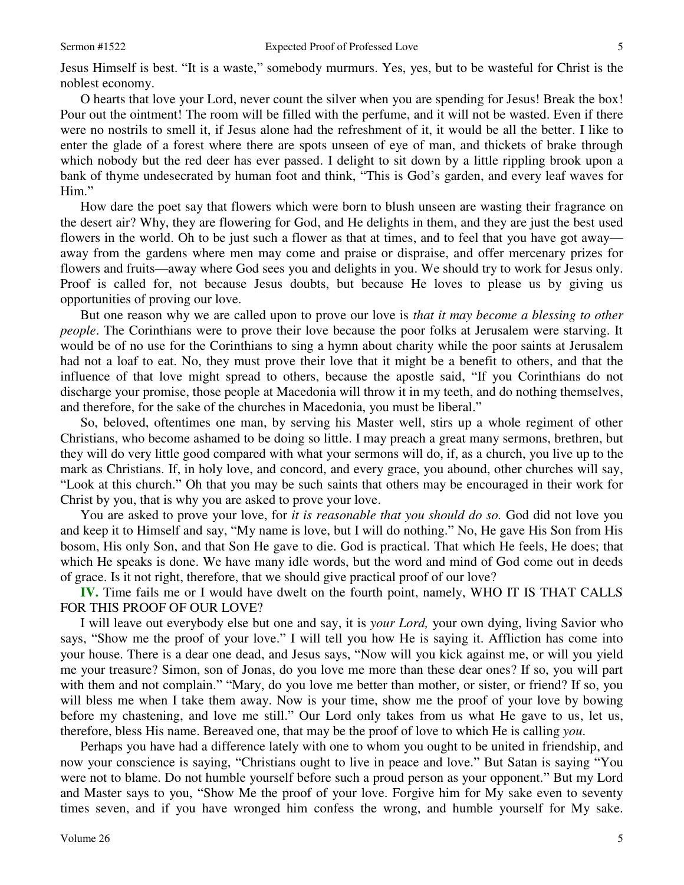Jesus Himself is best. "It is a waste," somebody murmurs. Yes, yes, but to be wasteful for Christ is the noblest economy.

 O hearts that love your Lord, never count the silver when you are spending for Jesus! Break the box! Pour out the ointment! The room will be filled with the perfume, and it will not be wasted. Even if there were no nostrils to smell it, if Jesus alone had the refreshment of it, it would be all the better. I like to enter the glade of a forest where there are spots unseen of eye of man, and thickets of brake through which nobody but the red deer has ever passed. I delight to sit down by a little rippling brook upon a bank of thyme undesecrated by human foot and think, "This is God's garden, and every leaf waves for Him."

 How dare the poet say that flowers which were born to blush unseen are wasting their fragrance on the desert air? Why, they are flowering for God, and He delights in them, and they are just the best used flowers in the world. Oh to be just such a flower as that at times, and to feel that you have got away away from the gardens where men may come and praise or dispraise, and offer mercenary prizes for flowers and fruits—away where God sees you and delights in you. We should try to work for Jesus only. Proof is called for, not because Jesus doubts, but because He loves to please us by giving us opportunities of proving our love.

 But one reason why we are called upon to prove our love is *that it may become a blessing to other people*. The Corinthians were to prove their love because the poor folks at Jerusalem were starving. It would be of no use for the Corinthians to sing a hymn about charity while the poor saints at Jerusalem had not a loaf to eat. No, they must prove their love that it might be a benefit to others, and that the influence of that love might spread to others, because the apostle said, "If you Corinthians do not discharge your promise, those people at Macedonia will throw it in my teeth, and do nothing themselves, and therefore, for the sake of the churches in Macedonia, you must be liberal."

 So, beloved, oftentimes one man, by serving his Master well, stirs up a whole regiment of other Christians, who become ashamed to be doing so little. I may preach a great many sermons, brethren, but they will do very little good compared with what your sermons will do, if, as a church, you live up to the mark as Christians. If, in holy love, and concord, and every grace, you abound, other churches will say, "Look at this church." Oh that you may be such saints that others may be encouraged in their work for Christ by you, that is why you are asked to prove your love.

 You are asked to prove your love, for *it is reasonable that you should do so.* God did not love you and keep it to Himself and say, "My name is love, but I will do nothing." No, He gave His Son from His bosom, His only Son, and that Son He gave to die. God is practical. That which He feels, He does; that which He speaks is done. We have many idle words, but the word and mind of God come out in deeds of grace. Is it not right, therefore, that we should give practical proof of our love?

**IV.** Time fails me or I would have dwelt on the fourth point, namely, WHO IT IS THAT CALLS FOR THIS PROOF OF OUR LOVE?

 I will leave out everybody else but one and say, it is *your Lord,* your own dying, living Savior who says, "Show me the proof of your love." I will tell you how He is saying it. Affliction has come into your house. There is a dear one dead, and Jesus says, "Now will you kick against me, or will you yield me your treasure? Simon, son of Jonas, do you love me more than these dear ones? If so, you will part with them and not complain." "Mary, do you love me better than mother, or sister, or friend? If so, you will bless me when I take them away. Now is your time, show me the proof of your love by bowing before my chastening, and love me still." Our Lord only takes from us what He gave to us, let us, therefore, bless His name. Bereaved one, that may be the proof of love to which He is calling *you*.

 Perhaps you have had a difference lately with one to whom you ought to be united in friendship, and now your conscience is saying, "Christians ought to live in peace and love." But Satan is saying "You were not to blame. Do not humble yourself before such a proud person as your opponent." But my Lord and Master says to you, "Show Me the proof of your love. Forgive him for My sake even to seventy times seven, and if you have wronged him confess the wrong, and humble yourself for My sake.